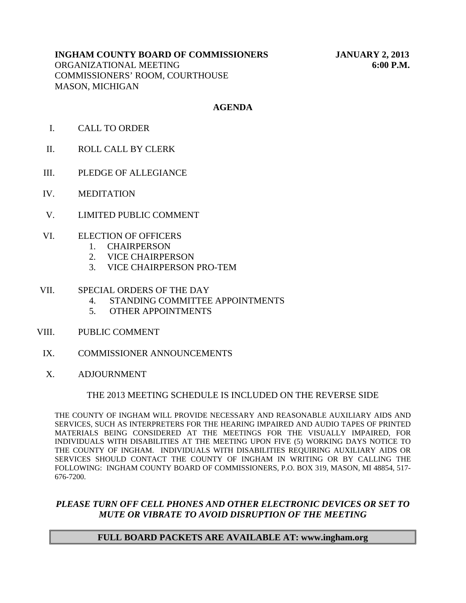# **INGHAM COUNTY BOARD OF COMMISSIONERS JANUARY 2, 2013**

ORGANIZATIONAL MEETING **6:00 P.M.** COMMISSIONERS' ROOM, COURTHOUSE MASON, MICHIGAN

# **AGENDA**

- I. CALL TO ORDER
- II. ROLL CALL BY CLERK
- III. PLEDGE OF ALLEGIANCE
- IV. MEDITATION
- V. LIMITED PUBLIC COMMENT
- VI. ELECTION OF OFFICERS
	- 1. CHAIRPERSON
	- 2. VICE CHAIRPERSON
	- 3. VICE CHAIRPERSON PRO-TEM

#### VII. SPECIAL ORDERS OF THE DAY

- 4. STANDING COMMITTEE APPOINTMENTS
- 5. OTHER APPOINTMENTS
- VIII. PUBLIC COMMENT
- IX. COMMISSIONER ANNOUNCEMENTS
- X. ADJOURNMENT

# THE 2013 MEETING SCHEDULE IS INCLUDED ON THE REVERSE SIDE

THE COUNTY OF INGHAM WILL PROVIDE NECESSARY AND REASONABLE AUXILIARY AIDS AND SERVICES, SUCH AS INTERPRETERS FOR THE HEARING IMPAIRED AND AUDIO TAPES OF PRINTED MATERIALS BEING CONSIDERED AT THE MEETINGS FOR THE VISUALLY IMPAIRED, FOR INDIVIDUALS WITH DISABILITIES AT THE MEETING UPON FIVE (5) WORKING DAYS NOTICE TO THE COUNTY OF INGHAM. INDIVIDUALS WITH DISABILITIES REQUIRING AUXILIARY AIDS OR SERVICES SHOULD CONTACT THE COUNTY OF INGHAM IN WRITING OR BY CALLING THE FOLLOWING: INGHAM COUNTY BOARD OF COMMISSIONERS, P.O. BOX 319, MASON, MI 48854, 517- 676-7200.

# *PLEASE TURN OFF CELL PHONES AND OTHER ELECTRONIC DEVICES OR SET TO MUTE OR VIBRATE TO AVOID DISRUPTION OF THE MEETING*

# **FULL BOARD PACKETS ARE AVAILABLE AT: www.ingham.org**